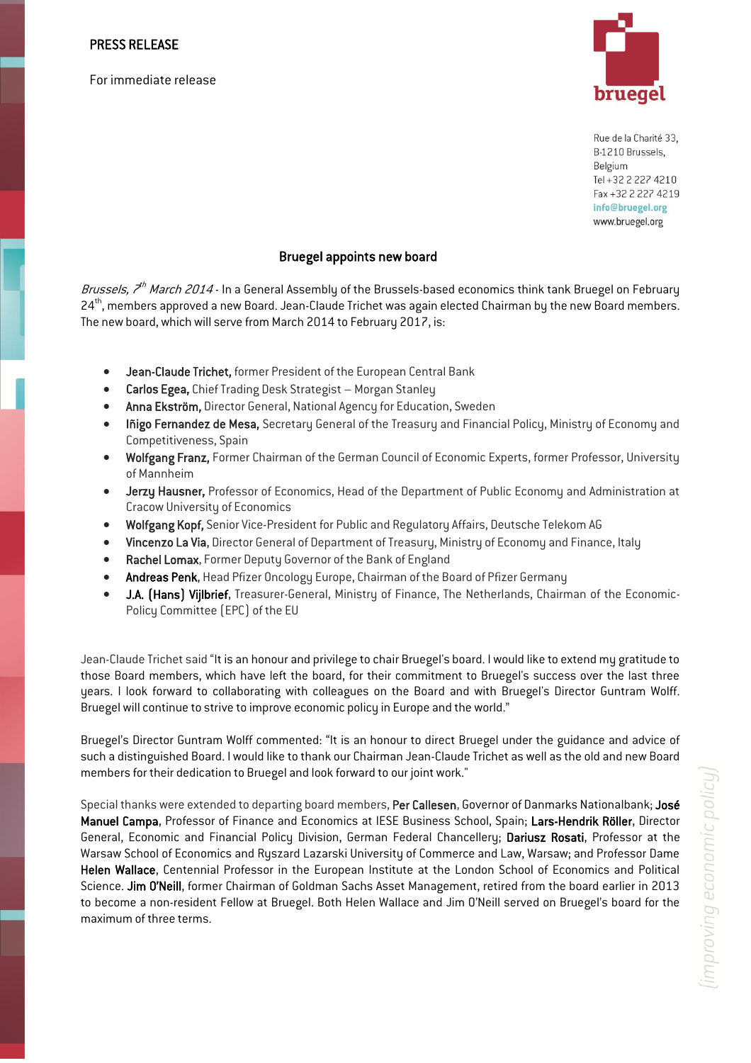For immediate release



Rue de la Charité 33, B-1210 Brussels, Belgium Tel +32 2 227 4210 Fax +32 2 227 4219 info@bruegel.org www.bruegel.org

## Bruegel appoints new board

*Brussels, 7<sup>th</sup> March 2014* - In a General Assembly of the Brussels-based economics think tank Bruegel on February 24<sup>th</sup>, members approved a new Board. Jean-Claude Trichet was again elected Chairman by the new Board members. The new board, which will serve from March 2014 to February 2017, is:

- Jean-Claude Trichet, former President of the European Central Bank
- Carlos Egea, Chief Trading Desk Strategist Morgan Stanley
- Anna Ekström, Director General, National Agency for Education, Sweden
- Iñigo Fernandez de Mesa, Secretary General of the Treasury and Financial Policy, Ministry of Economy and Competitiveness, Spain
- Wolfgang Franz, Former Chairman of the German Council of Economic Experts, former Professor, University of Mannheim
- Jerzy Hausner, Professor of Economics, Head of the Department of Public Economy and Administration at Cracow University of Economics
- Wolfgang Kopf, Senior Vice-President for Public and Regulatory Affairs, Deutsche Telekom AG
- Vincenzo La Via, Director General of Department of Treasury, Ministry of Economy and Finance, Italy
- Rachel Lomax, Former Deputy Governor of the Bank of England
- Andreas Penk, Head Pfizer Oncology Europe, Chairman of the Board of Pfizer Germany
- J.A. (Hans) Vijlbrief, Treasurer-General, Ministry of Finance, The Netherlands, Chairman of the Economic-Policy Committee (EPC) of the EU

Jean-Claude Trichet said "It is an honour and privilege to chair Bruegel's board. I would like to extend my gratitude to those Board members, which have left the board, for their commitment to Bruegel's success over the last three years. I look forward to collaborating with colleagues on the Board and with Bruegel's Director Guntram Wolff. Bruegel will continue to strive to improve economic policy in Europe and the world."

Bruegel's Director Guntram Wolff commented: "It is an honour to direct Bruegel under the guidance and advice of such a distinguished Board. I would like to thank our Chairman Jean-Claude Trichet as well as the old and new Board members for their dedication to Bruegel and look forward to our joint work."

Special thanks were extended to departing board members, Per Callesen, Governor of Danmarks Nationalbank; José Manuel Campa, Professor of Finance and Economics at IESE Business School, Spain; Lars-Hendrik Röller, Director General, Economic and Financial Policy Division, German Federal Chancellery; Dariusz Rosati, Professor at the Warsaw School of Economics and Ryszard Lazarski University of Commerce and Law, Warsaw; and Professor Dame Helen Wallace, Centennial Professor in the European Institute at the London School of Economics and Political Science. Jim O'Neill, former Chairman of Goldman Sachs Asset Management, retired from the board earlier in 2013 to become a non-resident Fellow at Bruegel. Both Helen Wallace and Jim O'Neill served on Bruegel's board for the maximum of three terms.